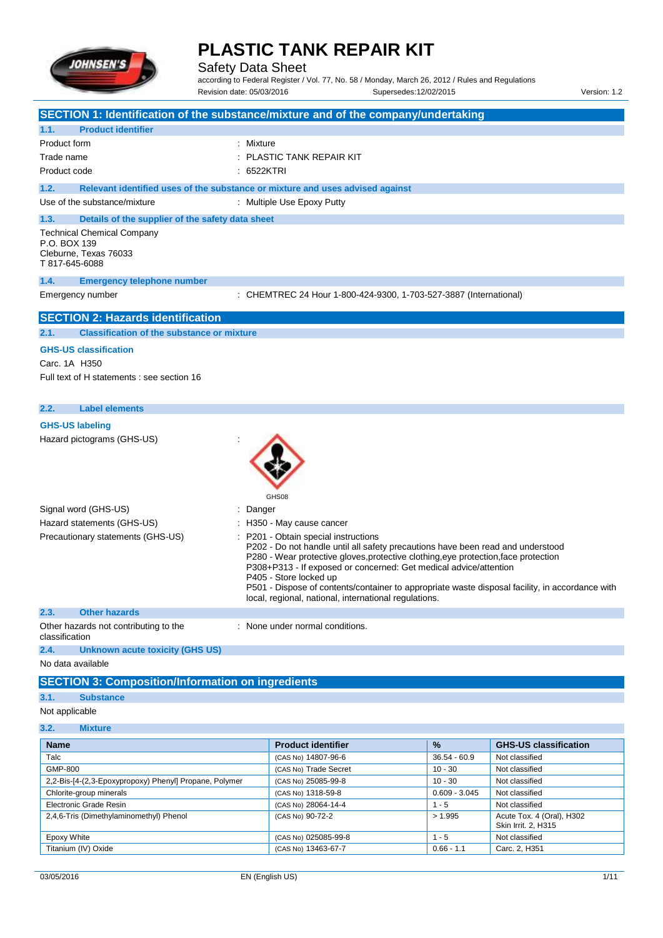

Safety Data Sheet

according to Federal Register / Vol. 77, No. 58 / Monday, March 26, 2012 / Rules and Regulations Revision date: 05/03/2016 Supersedes:12/02/2015 Version: 1.2

| <b>Product identifier</b><br>1.1.<br>Product form<br>: Mixture<br><b>PLASTIC TANK REPAIR KIT</b><br>Trade name<br>Product code<br>$: 6522$ KTRI<br>Relevant identified uses of the substance or mixture and uses advised against<br>1.2.<br>Use of the substance/mixture<br>: Multiple Use Epoxy Putty<br>1.3.<br>Details of the supplier of the safety data sheet<br><b>Technical Chemical Company</b><br>P.O. BOX 139<br>Cleburne, Texas 76033<br>T 817-645-6088<br>1.4.<br><b>Emergency telephone number</b><br>Emergency number<br>: CHEMTREC 24 Hour 1-800-424-9300, 1-703-527-3887 (International)<br><b>SECTION 2: Hazards identification</b><br><b>Classification of the substance or mixture</b><br>2.1.<br><b>GHS-US classification</b><br>Carc. 1A H350<br>Full text of H statements : see section 16<br><b>Label elements</b><br>2.2.<br><b>GHS-US labeling</b><br>Hazard pictograms (GHS-US)<br>GHS08<br>Signal word (GHS-US)<br>Danger<br>Hazard statements (GHS-US)<br>H350 - May cause cancer<br>Precautionary statements (GHS-US)<br>P201 - Obtain special instructions<br>P202 - Do not handle until all safety precautions have been read and understood<br>P280 - Wear protective gloves, protective clothing, eye protection, face protection<br>P308+P313 - If exposed or concerned: Get medical advice/attention<br>P405 - Store locked up<br>P501 - Dispose of contents/container to appropriate waste disposal facility, in accordance with<br>local, regional, national, international regulations.<br>2.3.<br><b>Other hazards</b><br>Other hazards not contributing to the<br>: None under normal conditions.<br>classification<br><b>Unknown acute toxicity (GHS US)</b><br>2.4.<br>No data available<br><b>SECTION 3: Composition/Information on ingredients</b><br>3.1.<br><b>Substance</b><br>Not applicable<br>3.2.<br><b>Mixture</b><br>%<br><b>Product identifier</b><br><b>GHS-US classification</b><br>Name<br>Talc<br>(CAS No) 14807-96-6<br>$36.54 - 60.9$<br>Not classified<br>GMP-800<br>$10 - 30$<br>(CAS No) Trade Secret<br>Not classified | SECTION 1: Identification of the substance/mixture and of the company/undertaking |  |  |
|----------------------------------------------------------------------------------------------------------------------------------------------------------------------------------------------------------------------------------------------------------------------------------------------------------------------------------------------------------------------------------------------------------------------------------------------------------------------------------------------------------------------------------------------------------------------------------------------------------------------------------------------------------------------------------------------------------------------------------------------------------------------------------------------------------------------------------------------------------------------------------------------------------------------------------------------------------------------------------------------------------------------------------------------------------------------------------------------------------------------------------------------------------------------------------------------------------------------------------------------------------------------------------------------------------------------------------------------------------------------------------------------------------------------------------------------------------------------------------------------------------------------------------------------------------------------------------------------------------------------------------------------------------------------------------------------------------------------------------------------------------------------------------------------------------------------------------------------------------------------------------------------------------------------------------------------------------------------------------------------------------------------------------------------------------------------------------------|-----------------------------------------------------------------------------------|--|--|
|                                                                                                                                                                                                                                                                                                                                                                                                                                                                                                                                                                                                                                                                                                                                                                                                                                                                                                                                                                                                                                                                                                                                                                                                                                                                                                                                                                                                                                                                                                                                                                                                                                                                                                                                                                                                                                                                                                                                                                                                                                                                                        |                                                                                   |  |  |
|                                                                                                                                                                                                                                                                                                                                                                                                                                                                                                                                                                                                                                                                                                                                                                                                                                                                                                                                                                                                                                                                                                                                                                                                                                                                                                                                                                                                                                                                                                                                                                                                                                                                                                                                                                                                                                                                                                                                                                                                                                                                                        |                                                                                   |  |  |
|                                                                                                                                                                                                                                                                                                                                                                                                                                                                                                                                                                                                                                                                                                                                                                                                                                                                                                                                                                                                                                                                                                                                                                                                                                                                                                                                                                                                                                                                                                                                                                                                                                                                                                                                                                                                                                                                                                                                                                                                                                                                                        |                                                                                   |  |  |
|                                                                                                                                                                                                                                                                                                                                                                                                                                                                                                                                                                                                                                                                                                                                                                                                                                                                                                                                                                                                                                                                                                                                                                                                                                                                                                                                                                                                                                                                                                                                                                                                                                                                                                                                                                                                                                                                                                                                                                                                                                                                                        |                                                                                   |  |  |
|                                                                                                                                                                                                                                                                                                                                                                                                                                                                                                                                                                                                                                                                                                                                                                                                                                                                                                                                                                                                                                                                                                                                                                                                                                                                                                                                                                                                                                                                                                                                                                                                                                                                                                                                                                                                                                                                                                                                                                                                                                                                                        |                                                                                   |  |  |
|                                                                                                                                                                                                                                                                                                                                                                                                                                                                                                                                                                                                                                                                                                                                                                                                                                                                                                                                                                                                                                                                                                                                                                                                                                                                                                                                                                                                                                                                                                                                                                                                                                                                                                                                                                                                                                                                                                                                                                                                                                                                                        |                                                                                   |  |  |
|                                                                                                                                                                                                                                                                                                                                                                                                                                                                                                                                                                                                                                                                                                                                                                                                                                                                                                                                                                                                                                                                                                                                                                                                                                                                                                                                                                                                                                                                                                                                                                                                                                                                                                                                                                                                                                                                                                                                                                                                                                                                                        |                                                                                   |  |  |
|                                                                                                                                                                                                                                                                                                                                                                                                                                                                                                                                                                                                                                                                                                                                                                                                                                                                                                                                                                                                                                                                                                                                                                                                                                                                                                                                                                                                                                                                                                                                                                                                                                                                                                                                                                                                                                                                                                                                                                                                                                                                                        |                                                                                   |  |  |
|                                                                                                                                                                                                                                                                                                                                                                                                                                                                                                                                                                                                                                                                                                                                                                                                                                                                                                                                                                                                                                                                                                                                                                                                                                                                                                                                                                                                                                                                                                                                                                                                                                                                                                                                                                                                                                                                                                                                                                                                                                                                                        |                                                                                   |  |  |
|                                                                                                                                                                                                                                                                                                                                                                                                                                                                                                                                                                                                                                                                                                                                                                                                                                                                                                                                                                                                                                                                                                                                                                                                                                                                                                                                                                                                                                                                                                                                                                                                                                                                                                                                                                                                                                                                                                                                                                                                                                                                                        |                                                                                   |  |  |
|                                                                                                                                                                                                                                                                                                                                                                                                                                                                                                                                                                                                                                                                                                                                                                                                                                                                                                                                                                                                                                                                                                                                                                                                                                                                                                                                                                                                                                                                                                                                                                                                                                                                                                                                                                                                                                                                                                                                                                                                                                                                                        |                                                                                   |  |  |
|                                                                                                                                                                                                                                                                                                                                                                                                                                                                                                                                                                                                                                                                                                                                                                                                                                                                                                                                                                                                                                                                                                                                                                                                                                                                                                                                                                                                                                                                                                                                                                                                                                                                                                                                                                                                                                                                                                                                                                                                                                                                                        |                                                                                   |  |  |
|                                                                                                                                                                                                                                                                                                                                                                                                                                                                                                                                                                                                                                                                                                                                                                                                                                                                                                                                                                                                                                                                                                                                                                                                                                                                                                                                                                                                                                                                                                                                                                                                                                                                                                                                                                                                                                                                                                                                                                                                                                                                                        |                                                                                   |  |  |
|                                                                                                                                                                                                                                                                                                                                                                                                                                                                                                                                                                                                                                                                                                                                                                                                                                                                                                                                                                                                                                                                                                                                                                                                                                                                                                                                                                                                                                                                                                                                                                                                                                                                                                                                                                                                                                                                                                                                                                                                                                                                                        |                                                                                   |  |  |
|                                                                                                                                                                                                                                                                                                                                                                                                                                                                                                                                                                                                                                                                                                                                                                                                                                                                                                                                                                                                                                                                                                                                                                                                                                                                                                                                                                                                                                                                                                                                                                                                                                                                                                                                                                                                                                                                                                                                                                                                                                                                                        |                                                                                   |  |  |
|                                                                                                                                                                                                                                                                                                                                                                                                                                                                                                                                                                                                                                                                                                                                                                                                                                                                                                                                                                                                                                                                                                                                                                                                                                                                                                                                                                                                                                                                                                                                                                                                                                                                                                                                                                                                                                                                                                                                                                                                                                                                                        |                                                                                   |  |  |
|                                                                                                                                                                                                                                                                                                                                                                                                                                                                                                                                                                                                                                                                                                                                                                                                                                                                                                                                                                                                                                                                                                                                                                                                                                                                                                                                                                                                                                                                                                                                                                                                                                                                                                                                                                                                                                                                                                                                                                                                                                                                                        |                                                                                   |  |  |
|                                                                                                                                                                                                                                                                                                                                                                                                                                                                                                                                                                                                                                                                                                                                                                                                                                                                                                                                                                                                                                                                                                                                                                                                                                                                                                                                                                                                                                                                                                                                                                                                                                                                                                                                                                                                                                                                                                                                                                                                                                                                                        |                                                                                   |  |  |
|                                                                                                                                                                                                                                                                                                                                                                                                                                                                                                                                                                                                                                                                                                                                                                                                                                                                                                                                                                                                                                                                                                                                                                                                                                                                                                                                                                                                                                                                                                                                                                                                                                                                                                                                                                                                                                                                                                                                                                                                                                                                                        |                                                                                   |  |  |
|                                                                                                                                                                                                                                                                                                                                                                                                                                                                                                                                                                                                                                                                                                                                                                                                                                                                                                                                                                                                                                                                                                                                                                                                                                                                                                                                                                                                                                                                                                                                                                                                                                                                                                                                                                                                                                                                                                                                                                                                                                                                                        |                                                                                   |  |  |
|                                                                                                                                                                                                                                                                                                                                                                                                                                                                                                                                                                                                                                                                                                                                                                                                                                                                                                                                                                                                                                                                                                                                                                                                                                                                                                                                                                                                                                                                                                                                                                                                                                                                                                                                                                                                                                                                                                                                                                                                                                                                                        |                                                                                   |  |  |
|                                                                                                                                                                                                                                                                                                                                                                                                                                                                                                                                                                                                                                                                                                                                                                                                                                                                                                                                                                                                                                                                                                                                                                                                                                                                                                                                                                                                                                                                                                                                                                                                                                                                                                                                                                                                                                                                                                                                                                                                                                                                                        |                                                                                   |  |  |
|                                                                                                                                                                                                                                                                                                                                                                                                                                                                                                                                                                                                                                                                                                                                                                                                                                                                                                                                                                                                                                                                                                                                                                                                                                                                                                                                                                                                                                                                                                                                                                                                                                                                                                                                                                                                                                                                                                                                                                                                                                                                                        |                                                                                   |  |  |
|                                                                                                                                                                                                                                                                                                                                                                                                                                                                                                                                                                                                                                                                                                                                                                                                                                                                                                                                                                                                                                                                                                                                                                                                                                                                                                                                                                                                                                                                                                                                                                                                                                                                                                                                                                                                                                                                                                                                                                                                                                                                                        |                                                                                   |  |  |
|                                                                                                                                                                                                                                                                                                                                                                                                                                                                                                                                                                                                                                                                                                                                                                                                                                                                                                                                                                                                                                                                                                                                                                                                                                                                                                                                                                                                                                                                                                                                                                                                                                                                                                                                                                                                                                                                                                                                                                                                                                                                                        |                                                                                   |  |  |
|                                                                                                                                                                                                                                                                                                                                                                                                                                                                                                                                                                                                                                                                                                                                                                                                                                                                                                                                                                                                                                                                                                                                                                                                                                                                                                                                                                                                                                                                                                                                                                                                                                                                                                                                                                                                                                                                                                                                                                                                                                                                                        |                                                                                   |  |  |
|                                                                                                                                                                                                                                                                                                                                                                                                                                                                                                                                                                                                                                                                                                                                                                                                                                                                                                                                                                                                                                                                                                                                                                                                                                                                                                                                                                                                                                                                                                                                                                                                                                                                                                                                                                                                                                                                                                                                                                                                                                                                                        |                                                                                   |  |  |
|                                                                                                                                                                                                                                                                                                                                                                                                                                                                                                                                                                                                                                                                                                                                                                                                                                                                                                                                                                                                                                                                                                                                                                                                                                                                                                                                                                                                                                                                                                                                                                                                                                                                                                                                                                                                                                                                                                                                                                                                                                                                                        |                                                                                   |  |  |
|                                                                                                                                                                                                                                                                                                                                                                                                                                                                                                                                                                                                                                                                                                                                                                                                                                                                                                                                                                                                                                                                                                                                                                                                                                                                                                                                                                                                                                                                                                                                                                                                                                                                                                                                                                                                                                                                                                                                                                                                                                                                                        |                                                                                   |  |  |
|                                                                                                                                                                                                                                                                                                                                                                                                                                                                                                                                                                                                                                                                                                                                                                                                                                                                                                                                                                                                                                                                                                                                                                                                                                                                                                                                                                                                                                                                                                                                                                                                                                                                                                                                                                                                                                                                                                                                                                                                                                                                                        |                                                                                   |  |  |
|                                                                                                                                                                                                                                                                                                                                                                                                                                                                                                                                                                                                                                                                                                                                                                                                                                                                                                                                                                                                                                                                                                                                                                                                                                                                                                                                                                                                                                                                                                                                                                                                                                                                                                                                                                                                                                                                                                                                                                                                                                                                                        |                                                                                   |  |  |

| <b>Name</b>                                            | <b>Product identifier</b> | Y <sub>o</sub>  | <b>GHS-US Classification</b>                     |
|--------------------------------------------------------|---------------------------|-----------------|--------------------------------------------------|
| Talc                                                   | (CAS No) 14807-96-6       | $36.54 - 60.9$  | Not classified                                   |
| GMP-800                                                | (CAS No) Trade Secret     | $10 - 30$       | Not classified                                   |
| 2,2-Bis-[4-(2,3-Epoxypropoxy) Phenyl] Propane, Polymer | (CAS No) 25085-99-8       | $10 - 30$       | Not classified                                   |
| Chlorite-group minerals                                | (CAS No) 1318-59-8        | $0.609 - 3.045$ | Not classified                                   |
| Electronic Grade Resin                                 | (CAS No) 28064-14-4       | $1 - 5$         | Not classified                                   |
| 2.4.6-Tris (Dimethylaminomethyl) Phenol                | (CAS No) 90-72-2          | > 1.995         | Acute Tox. 4 (Oral), H302<br>Skin Irrit. 2, H315 |
| Epoxy White                                            | (CAS No) 025085-99-8      | $1 - 5$         | Not classified                                   |
| Titanium (IV) Oxide                                    | (CAS No) 13463-67-7       | $0.66 - 1.1$    | Carc. 2, H351                                    |
|                                                        |                           |                 |                                                  |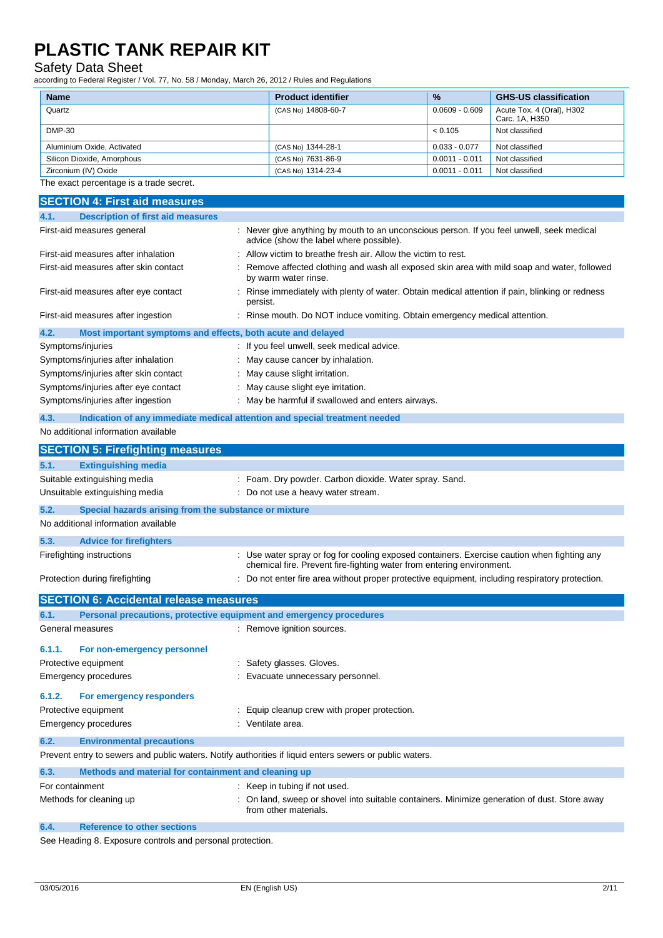## Safety Data Sheet

| <b>Name</b>                                                                        | <b>Product identifier</b>                                                                                                                                            | %                | <b>GHS-US classification</b>                |
|------------------------------------------------------------------------------------|----------------------------------------------------------------------------------------------------------------------------------------------------------------------|------------------|---------------------------------------------|
| Quartz                                                                             | (CAS No) 14808-60-7                                                                                                                                                  | $0.0609 - 0.609$ | Acute Tox. 4 (Oral), H302<br>Carc. 1A, H350 |
| <b>DMP-30</b>                                                                      |                                                                                                                                                                      | < 0.105          | Not classified                              |
| Aluminium Oxide, Activated                                                         | (CAS No) 1344-28-1                                                                                                                                                   | $0.033 - 0.077$  | Not classified                              |
| Silicon Dioxide, Amorphous                                                         | (CAS No) 7631-86-9                                                                                                                                                   | $0.0011 - 0.011$ | Not classified                              |
| Zirconium (IV) Oxide                                                               | (CAS No) 1314-23-4                                                                                                                                                   | $0.0011 - 0.011$ | Not classified                              |
| The exact percentage is a trade secret.                                            |                                                                                                                                                                      |                  |                                             |
| <b>SECTION 4: First aid measures</b>                                               |                                                                                                                                                                      |                  |                                             |
| <b>Description of first aid measures</b><br>4.1.                                   |                                                                                                                                                                      |                  |                                             |
| First-aid measures general                                                         | : Never give anything by mouth to an unconscious person. If you feel unwell, seek medical<br>advice (show the label where possible).                                 |                  |                                             |
| First-aid measures after inhalation                                                | Allow victim to breathe fresh air. Allow the victim to rest.                                                                                                         |                  |                                             |
| First-aid measures after skin contact                                              | Remove affected clothing and wash all exposed skin area with mild soap and water, followed<br>by warm water rinse.                                                   |                  |                                             |
| First-aid measures after eye contact                                               | Rinse immediately with plenty of water. Obtain medical attention if pain, blinking or redness<br>persist.                                                            |                  |                                             |
| First-aid measures after ingestion                                                 | : Rinse mouth. Do NOT induce vomiting. Obtain emergency medical attention.                                                                                           |                  |                                             |
| 4.2.<br>Most important symptoms and effects, both acute and delayed                |                                                                                                                                                                      |                  |                                             |
| Symptoms/injuries                                                                  | : If you feel unwell, seek medical advice.                                                                                                                           |                  |                                             |
| Symptoms/injuries after inhalation                                                 | May cause cancer by inhalation.                                                                                                                                      |                  |                                             |
| Symptoms/injuries after skin contact                                               | May cause slight irritation.                                                                                                                                         |                  |                                             |
| Symptoms/injuries after eye contact                                                | May cause slight eye irritation.                                                                                                                                     |                  |                                             |
| Symptoms/injuries after ingestion                                                  | May be harmful if swallowed and enters airways.                                                                                                                      |                  |                                             |
| 4.3.<br>Indication of any immediate medical attention and special treatment needed |                                                                                                                                                                      |                  |                                             |
| No additional information available                                                |                                                                                                                                                                      |                  |                                             |
| <b>SECTION 5: Firefighting measures</b>                                            |                                                                                                                                                                      |                  |                                             |
| 5.1.<br><b>Extinguishing media</b>                                                 |                                                                                                                                                                      |                  |                                             |
| Suitable extinguishing media                                                       | Foam. Dry powder. Carbon dioxide. Water spray. Sand.                                                                                                                 |                  |                                             |
| Unsuitable extinguishing media                                                     | : Do not use a heavy water stream.                                                                                                                                   |                  |                                             |
| 5.2.<br>Special hazards arising from the substance or mixture                      |                                                                                                                                                                      |                  |                                             |
| No additional information available                                                |                                                                                                                                                                      |                  |                                             |
| 5.3.<br><b>Advice for firefighters</b>                                             |                                                                                                                                                                      |                  |                                             |
| Firefighting instructions                                                          | : Use water spray or fog for cooling exposed containers. Exercise caution when fighting any<br>chemical fire. Prevent fire-fighting water from entering environment. |                  |                                             |
| Protection during firefighting                                                     | : Do not enter fire area without proper protective equipment, including respiratory protection.                                                                      |                  |                                             |
|                                                                                    |                                                                                                                                                                      |                  |                                             |
| <b>SECTION 6: Accidental release measures</b>                                      |                                                                                                                                                                      |                  |                                             |

| 6.1.            | Personal precautions, protective equipment and emergency procedures |                                                                                                                       |
|-----------------|---------------------------------------------------------------------|-----------------------------------------------------------------------------------------------------------------------|
|                 | General measures                                                    | : Remove ignition sources.                                                                                            |
| 6.1.1.          | For non-emergency personnel                                         |                                                                                                                       |
|                 | Protective equipment                                                | : Safety glasses. Gloves.                                                                                             |
|                 | Emergency procedures                                                | : Evacuate unnecessary personnel.                                                                                     |
| 6.1.2.          | For emergency responders                                            |                                                                                                                       |
|                 | Protective equipment                                                | Equip cleanup crew with proper protection.                                                                            |
|                 | Emergency procedures                                                | : Ventilate area.                                                                                                     |
| 6.2.            | <b>Environmental precautions</b>                                    |                                                                                                                       |
|                 |                                                                     | Prevent entry to sewers and public waters. Notify authorities if liquid enters sewers or public waters.               |
| 6.3.            | Methods and material for containment and cleaning up                |                                                                                                                       |
| For containment |                                                                     | : Keep in tubing if not used.                                                                                         |
|                 | Methods for cleaning up                                             | : On land, sweep or shovel into suitable containers. Minimize generation of dust. Store away<br>from other materials. |

**6.4. Reference to other sections**

See Heading 8. Exposure controls and personal protection.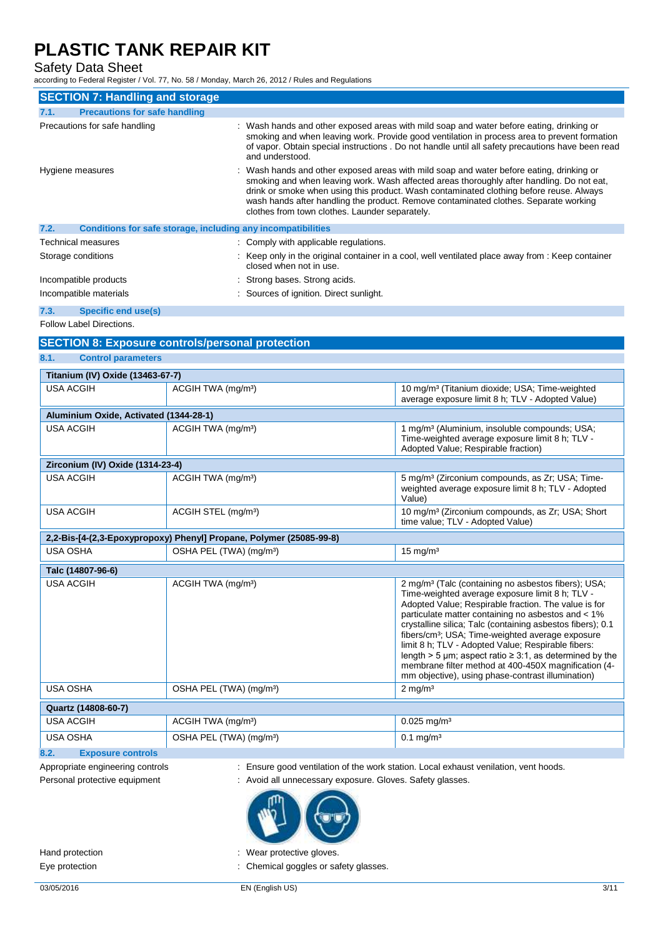## Safety Data Sheet

according to Federal Register / Vol. 77, No. 58 / Monday, March 26, 2012 / Rules and Regulations

| <b>SECTION 7: Handling and storage</b>                               |                                                                                                                                                                                                                                                                                                                                                                                                                          |
|----------------------------------------------------------------------|--------------------------------------------------------------------------------------------------------------------------------------------------------------------------------------------------------------------------------------------------------------------------------------------------------------------------------------------------------------------------------------------------------------------------|
| <b>Precautions for safe handling</b><br>7.1.                         |                                                                                                                                                                                                                                                                                                                                                                                                                          |
| Precautions for safe handling                                        | Wash hands and other exposed areas with mild soap and water before eating, drinking or<br>smoking and when leaving work. Provide good ventilation in process area to prevent formation<br>of vapor. Obtain special instructions . Do not handle until all safety precautions have been read<br>and understood.                                                                                                           |
| Hygiene measures                                                     | Wash hands and other exposed areas with mild soap and water before eating, drinking or<br>smoking and when leaving work. Wash affected areas thoroughly after handling. Do not eat,<br>drink or smoke when using this product. Wash contaminated clothing before reuse. Always<br>wash hands after handling the product. Remove contaminated clothes. Separate working<br>clothes from town clothes. Launder separately. |
| 7.2.<br>Conditions for safe storage, including any incompatibilities |                                                                                                                                                                                                                                                                                                                                                                                                                          |
| Technical measures                                                   | : Comply with applicable regulations.                                                                                                                                                                                                                                                                                                                                                                                    |
| Storage conditions                                                   | : Keep only in the original container in a cool, well ventilated place away from : Keep container<br>closed when not in use.                                                                                                                                                                                                                                                                                             |
| Incompatible products                                                | : Strong bases. Strong acids.                                                                                                                                                                                                                                                                                                                                                                                            |
| Incompatible materials                                               | Sources of ignition. Direct sunlight.                                                                                                                                                                                                                                                                                                                                                                                    |

**7.3. Specific end use(s)**

Follow Label Directions.

#### **SECTION 8: Exposure controls/personal protection**

**8.1. Control parameters**

| Titanium (IV) Oxide (13463-67-7)       |                                                                     |                                                                                                                                                                                                                                                                                                                                                                                                                                                                                                                                                                                                     |
|----------------------------------------|---------------------------------------------------------------------|-----------------------------------------------------------------------------------------------------------------------------------------------------------------------------------------------------------------------------------------------------------------------------------------------------------------------------------------------------------------------------------------------------------------------------------------------------------------------------------------------------------------------------------------------------------------------------------------------------|
| <b>USA ACGIH</b>                       | ACGIH TWA (mg/m <sup>3</sup> )                                      | 10 mg/m <sup>3</sup> (Titanium dioxide; USA; Time-weighted<br>average exposure limit 8 h: TLV - Adopted Value)                                                                                                                                                                                                                                                                                                                                                                                                                                                                                      |
| Aluminium Oxide, Activated (1344-28-1) |                                                                     |                                                                                                                                                                                                                                                                                                                                                                                                                                                                                                                                                                                                     |
| <b>USA ACGIH</b>                       | ACGIH TWA (mg/m <sup>3</sup> )                                      | 1 mg/m <sup>3</sup> (Aluminium, insoluble compounds; USA;<br>Time-weighted average exposure limit 8 h; TLV -<br>Adopted Value; Respirable fraction)                                                                                                                                                                                                                                                                                                                                                                                                                                                 |
| Zirconium (IV) Oxide (1314-23-4)       |                                                                     |                                                                                                                                                                                                                                                                                                                                                                                                                                                                                                                                                                                                     |
| <b>USA ACGIH</b>                       | ACGIH TWA (mg/m <sup>3</sup> )                                      | 5 mg/m <sup>3</sup> (Zirconium compounds, as Zr; USA; Time-<br>weighted average exposure limit 8 h; TLV - Adopted<br>Value)                                                                                                                                                                                                                                                                                                                                                                                                                                                                         |
| <b>USA ACGIH</b>                       | ACGIH STEL (mg/m <sup>3</sup> )                                     | 10 mg/m <sup>3</sup> (Zirconium compounds, as Zr; USA; Short<br>time value; TLV - Adopted Value)                                                                                                                                                                                                                                                                                                                                                                                                                                                                                                    |
|                                        | 2,2-Bis-[4-(2,3-Epoxypropoxy) Phenyl] Propane, Polymer (25085-99-8) |                                                                                                                                                                                                                                                                                                                                                                                                                                                                                                                                                                                                     |
| <b>USA OSHA</b>                        | OSHA PEL (TWA) (mg/m <sup>3</sup> )                                 | $15 \text{ mg/m}^3$                                                                                                                                                                                                                                                                                                                                                                                                                                                                                                                                                                                 |
| Talc (14807-96-6)                      |                                                                     |                                                                                                                                                                                                                                                                                                                                                                                                                                                                                                                                                                                                     |
| <b>USA ACGIH</b>                       | ACGIH TWA (mg/m <sup>3</sup> )                                      | 2 mg/m <sup>3</sup> (Talc (containing no asbestos fibers); USA;<br>Time-weighted average exposure limit 8 h; TLV -<br>Adopted Value; Respirable fraction. The value is for<br>particulate matter containing no asbestos and < 1%<br>crystalline silica; Talc (containing asbestos fibers); 0.1<br>fibers/cm <sup>3</sup> ; USA; Time-weighted average exposure<br>limit 8 h; TLV - Adopted Value; Respirable fibers:<br>length $>$ 5 µm; aspect ratio $\geq$ 3:1, as determined by the<br>membrane filter method at 400-450X magnification (4-<br>mm objective), using phase-contrast illumination) |
| <b>USA OSHA</b>                        | OSHA PEL (TWA) (mg/m <sup>3</sup> )                                 | $2$ mg/m <sup>3</sup>                                                                                                                                                                                                                                                                                                                                                                                                                                                                                                                                                                               |
| Quartz (14808-60-7)                    |                                                                     |                                                                                                                                                                                                                                                                                                                                                                                                                                                                                                                                                                                                     |
| <b>USA ACGIH</b>                       | ACGIH TWA (mg/m <sup>3</sup> )                                      | $0.025$ mg/m <sup>3</sup>                                                                                                                                                                                                                                                                                                                                                                                                                                                                                                                                                                           |
| <b>USA OSHA</b>                        | OSHA PEL (TWA) (mg/m <sup>3</sup> )                                 | $0.1 \text{ mg/m}^3$                                                                                                                                                                                                                                                                                                                                                                                                                                                                                                                                                                                |

**8.2. Exposure controls**

Appropriate engineering controls : Ensure good ventilation of the work station. Local exhaust venilation, vent hoods.

Personal protective equipment : Avoid all unnecessary exposure. Gloves. Safety glasses.



Hand protection **intervalled** in the set of the Wear protective gloves. Eye protection **in the case of the Chemical goggles or safety glasses.**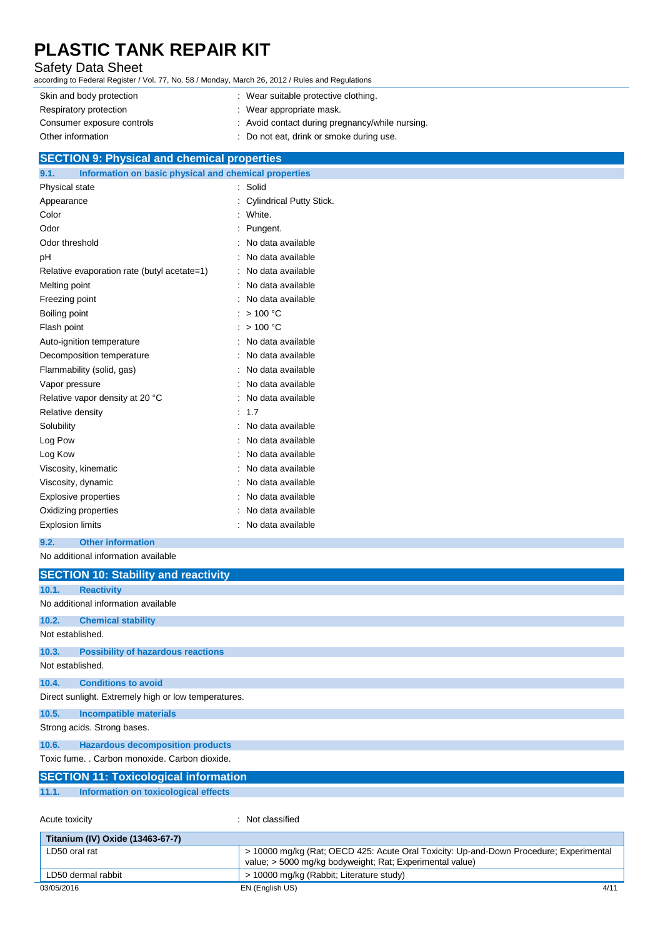## Safety Data Sheet

according to Federal Register / Vol. 77, No. 58 / Monday, March 26, 2012 / Rules and Regulations

Skin and body protection : Wear suitable protective clothing. Respiratory protection **in the set of the COV** Mear appropriate mask. Consumer exposure controls example  $\sim$  Avoid contact during pregnancy/while nursing. Other information : Do not eat, drink or smoke during use.

### **SECTION 9: Physical and chemical properties**

| Information on basic physical and chemical properties<br>9.1.<br>and the state of the state of the state of the state of the state of the state of the state of the state of th |   |                                 |
|---------------------------------------------------------------------------------------------------------------------------------------------------------------------------------|---|---------------------------------|
| Physical state                                                                                                                                                                  | ÷ | Solid                           |
| Appearance                                                                                                                                                                      |   | <b>Cylindrical Putty Stick.</b> |
| Color                                                                                                                                                                           |   | White.                          |
| Odor                                                                                                                                                                            |   | Pungent.                        |
| Odor threshold                                                                                                                                                                  |   | No data available               |
| pH                                                                                                                                                                              |   | No data available               |
| Relative evaporation rate (butyl acetate=1)                                                                                                                                     |   | No data available               |
| Melting point                                                                                                                                                                   |   | No data available               |
| Freezing point                                                                                                                                                                  |   | No data available               |
| Boiling point                                                                                                                                                                   |   | >100 °C                         |
| Flash point                                                                                                                                                                     |   | >100 °C                         |
| Auto-ignition temperature                                                                                                                                                       |   | No data available               |
| Decomposition temperature                                                                                                                                                       |   | No data available               |
| Flammability (solid, gas)                                                                                                                                                       |   | No data available               |
| Vapor pressure                                                                                                                                                                  |   | No data available               |
| Relative vapor density at 20 °C                                                                                                                                                 |   | No data available               |
| Relative density                                                                                                                                                                |   | 1.7                             |
| Solubility                                                                                                                                                                      |   | No data available               |
| Log Pow                                                                                                                                                                         |   | No data available               |
| Log Kow                                                                                                                                                                         |   | No data available               |
| Viscosity, kinematic                                                                                                                                                            |   | No data available               |
| Viscosity, dynamic                                                                                                                                                              |   | No data available               |
| <b>Explosive properties</b>                                                                                                                                                     |   | No data available               |
| Oxidizing properties                                                                                                                                                            |   | No data available               |
| <b>Explosion limits</b>                                                                                                                                                         |   | No data available               |

### **9.2. Other information**

No additional information available

|                  | <b>SECTION 10: Stability and reactivity</b>          |
|------------------|------------------------------------------------------|
| 10.1.            | <b>Reactivity</b>                                    |
|                  | No additional information available                  |
| 10.2.            | <b>Chemical stability</b>                            |
| Not established. |                                                      |
| 10.3.            | <b>Possibility of hazardous reactions</b>            |
| Not established. |                                                      |
| 10.4.            | <b>Conditions to avoid</b>                           |
|                  | Direct sunlight. Extremely high or low temperatures. |
| 10.5.            | <b>Incompatible materials</b>                        |
|                  | Strong acids. Strong bases.                          |
| 10.6.            | <b>Hazardous decomposition products</b>              |
|                  | Toxic fume. . Carbon monoxide. Carbon dioxide.       |
|                  | <b>SECTION 11: Toxicological information</b>         |
| 11.1.            | Information on toxicological effects                 |
|                  |                                                      |
| Acute toxicity   | Not classified<br>$\bullet$                          |

| Titanium (IV) Oxide (13463-67-7) |                                                                                                                                                    |
|----------------------------------|----------------------------------------------------------------------------------------------------------------------------------------------------|
| LD50 oral rat                    | > 10000 mg/kg (Rat; OECD 425: Acute Oral Toxicity: Up-and-Down Procedure; Experimental<br>value; > 5000 mg/kg bodyweight; Rat; Experimental value) |
| LD50 dermal rabbit               | > 10000 mg/kg (Rabbit; Literature study)                                                                                                           |
| 03/05/2016                       | 4/11<br>EN (English US)                                                                                                                            |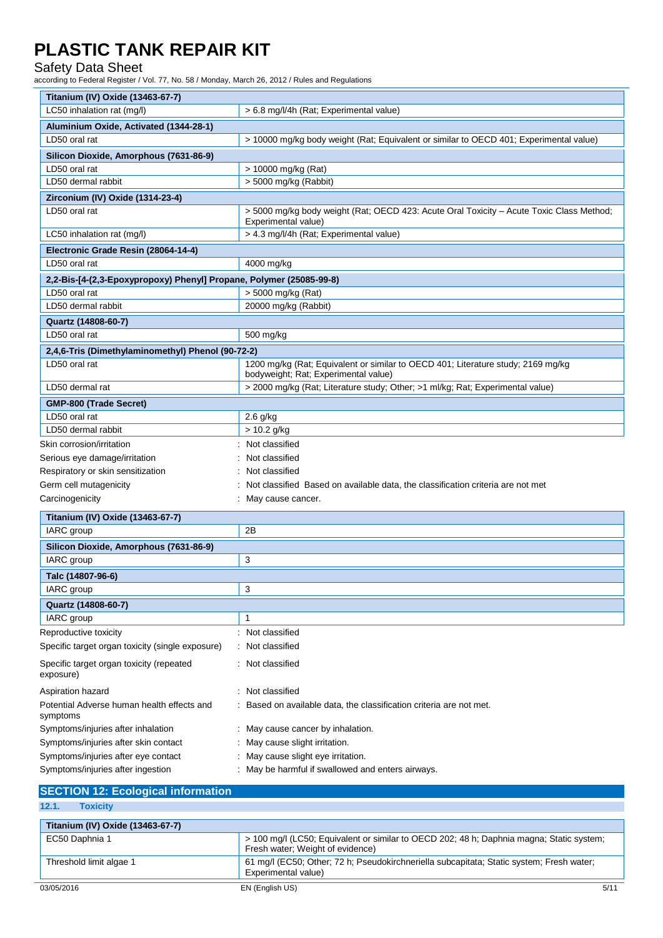## Safety Data Sheet

according to Federal Register / Vol. 77, No. 58 / Monday, March 26, 2012 / Rules and Regulations

| Titanium (IV) Oxide (13463-67-7)                                    |                                                                                                                          |
|---------------------------------------------------------------------|--------------------------------------------------------------------------------------------------------------------------|
| LC50 inhalation rat (mg/l)                                          | > 6.8 mg/l/4h (Rat; Experimental value)                                                                                  |
| Aluminium Oxide, Activated (1344-28-1)                              |                                                                                                                          |
| LD50 oral rat                                                       | > 10000 mg/kg body weight (Rat; Equivalent or similar to OECD 401; Experimental value)                                   |
| Silicon Dioxide, Amorphous (7631-86-9)                              |                                                                                                                          |
| LD50 oral rat                                                       | > 10000 mg/kg (Rat)                                                                                                      |
| LD50 dermal rabbit                                                  | > 5000 mg/kg (Rabbit)                                                                                                    |
| Zirconium (IV) Oxide (1314-23-4)                                    |                                                                                                                          |
| LD50 oral rat                                                       | > 5000 mg/kg body weight (Rat; OECD 423: Acute Oral Toxicity – Acute Toxic Class Method;                                 |
|                                                                     | Experimental value)                                                                                                      |
| LC50 inhalation rat (mg/l)                                          | > 4.3 mg/l/4h (Rat; Experimental value)                                                                                  |
| Electronic Grade Resin (28064-14-4)                                 |                                                                                                                          |
| LD50 oral rat                                                       | 4000 mg/kg                                                                                                               |
| 2,2-Bis-[4-(2,3-Epoxypropoxy) Phenyl] Propane, Polymer (25085-99-8) |                                                                                                                          |
| LD50 oral rat                                                       | > 5000 mg/kg (Rat)                                                                                                       |
| LD50 dermal rabbit                                                  | 20000 mg/kg (Rabbit)                                                                                                     |
| Quartz (14808-60-7)                                                 |                                                                                                                          |
| LD50 oral rat                                                       | 500 mg/kg                                                                                                                |
| 2,4,6-Tris (Dimethylaminomethyl) Phenol (90-72-2)                   |                                                                                                                          |
| LD50 oral rat                                                       | 1200 mg/kg (Rat; Equivalent or similar to OECD 401; Literature study; 2169 mg/kg<br>bodyweight; Rat; Experimental value) |
| LD50 dermal rat                                                     | > 2000 mg/kg (Rat; Literature study; Other; >1 ml/kg; Rat; Experimental value)                                           |
| <b>GMP-800 (Trade Secret)</b>                                       |                                                                                                                          |
| LD50 oral rat                                                       | 2.6 g/kg                                                                                                                 |
| LD50 dermal rabbit                                                  | > 10.2 g/kg                                                                                                              |
| Skin corrosion/irritation                                           | Not classified                                                                                                           |
| Serious eye damage/irritation                                       | Not classified                                                                                                           |
| Respiratory or skin sensitization                                   | Not classified                                                                                                           |
| Germ cell mutagenicity                                              | Not classified Based on available data, the classification criteria are not met                                          |
| Carcinogenicity                                                     | May cause cancer.                                                                                                        |
|                                                                     |                                                                                                                          |
| Titanium (IV) Oxide (13463-67-7)                                    |                                                                                                                          |
| IARC group                                                          | 2B                                                                                                                       |
| Silicon Dioxide, Amorphous (7631-86-9)                              |                                                                                                                          |
| IARC group                                                          | 3                                                                                                                        |
| Talc (14807-96-6)                                                   |                                                                                                                          |
| IARC group                                                          | 3                                                                                                                        |
| Quartz (14808-60-7)                                                 |                                                                                                                          |
| IARC group                                                          | 1                                                                                                                        |
| Reproductive toxicity                                               | Not classified                                                                                                           |
| Specific target organ toxicity (single exposure)                    | Not classified                                                                                                           |
| Specific target organ toxicity (repeated<br>exposure)               | Not classified                                                                                                           |
| Aspiration hazard                                                   | Not classified                                                                                                           |
| Potential Adverse human health effects and<br>symptoms              | Based on available data, the classification criteria are not met.                                                        |
| Symptoms/injuries after inhalation                                  | May cause cancer by inhalation.                                                                                          |
| Symptoms/injuries after skin contact                                | May cause slight irritation.                                                                                             |
| Symptoms/injuries after eye contact                                 | May cause slight eye irritation.                                                                                         |
| Symptoms/injuries after ingestion                                   | May be harmful if swallowed and enters airways.                                                                          |
|                                                                     |                                                                                                                          |

| <b>SECTION 12: Ecological information</b> |                                                                                                                              |
|-------------------------------------------|------------------------------------------------------------------------------------------------------------------------------|
| 12.1.<br><b>Toxicity</b>                  |                                                                                                                              |
| Titanium (IV) Oxide (13463-67-7)          |                                                                                                                              |
| EC50 Daphnia 1                            | > 100 mg/l (LC50; Equivalent or similar to OECD 202; 48 h; Daphnia magna; Static system;<br>Fresh water; Weight of evidence) |
| Threshold limit algae 1                   | 61 mg/l (EC50; Other; 72 h; Pseudokirchneriella subcapitata; Static system; Fresh water;<br>Experimental value)              |
| 03/05/2016                                | EN (English US)<br>5/11                                                                                                      |

F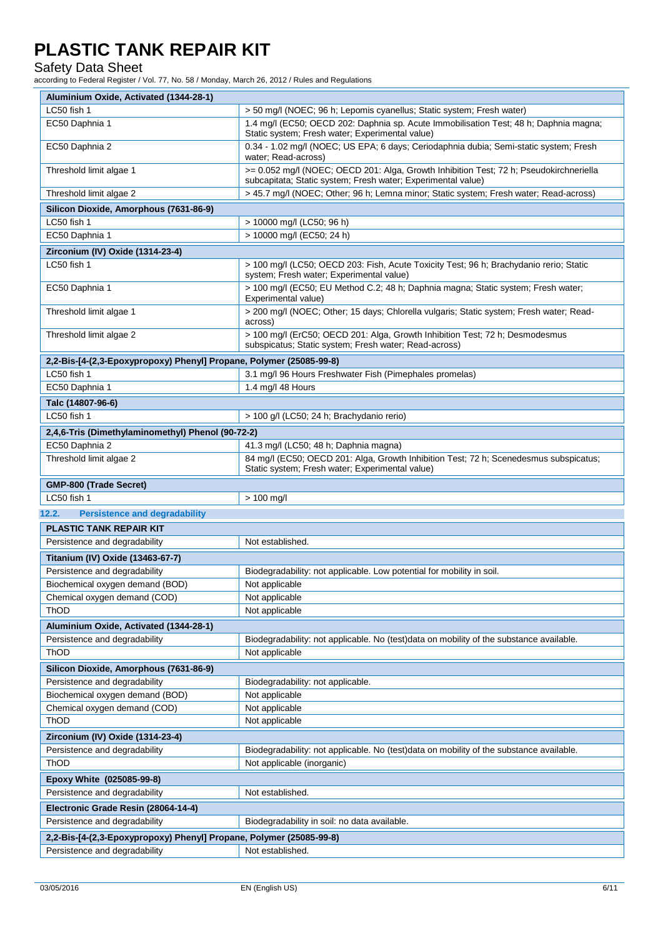## Safety Data Sheet

according to Federal Register / Vol. 77, No. 58 / Monday, March 26, 2012 / Rules and Regulations

| Aluminium Oxide, Activated (1344-28-1)                                                               |                                                                                                                                                        |
|------------------------------------------------------------------------------------------------------|--------------------------------------------------------------------------------------------------------------------------------------------------------|
| LC50 fish 1                                                                                          | > 50 mg/l (NOEC; 96 h; Lepomis cyanellus; Static system; Fresh water)                                                                                  |
| EC50 Daphnia 1                                                                                       | 1.4 mg/l (EC50; OECD 202: Daphnia sp. Acute Immobilisation Test; 48 h; Daphnia magna;<br>Static system; Fresh water; Experimental value)               |
| EC50 Daphnia 2                                                                                       | 0.34 - 1.02 mg/l (NOEC; US EPA; 6 days; Ceriodaphnia dubia; Semi-static system; Fresh<br>water; Read-across)                                           |
| Threshold limit algae 1                                                                              | >= 0.052 mg/l (NOEC; OECD 201: Alga, Growth Inhibition Test; 72 h; Pseudokirchneriella<br>subcapitata; Static system; Fresh water; Experimental value) |
| Threshold limit algae 2                                                                              | > 45.7 mg/l (NOEC; Other; 96 h; Lemna minor; Static system; Fresh water; Read-across)                                                                  |
| Silicon Dioxide, Amorphous (7631-86-9)                                                               |                                                                                                                                                        |
| LC50 fish 1                                                                                          | > 10000 mg/l (LC50; 96 h)                                                                                                                              |
| EC50 Daphnia 1                                                                                       | > 10000 mg/l (EC50; 24 h)                                                                                                                              |
| Zirconium (IV) Oxide (1314-23-4)                                                                     |                                                                                                                                                        |
| LC50 fish 1                                                                                          | > 100 mg/l (LC50; OECD 203: Fish, Acute Toxicity Test; 96 h; Brachydanio rerio; Static<br>system; Fresh water; Experimental value)                     |
| EC50 Daphnia 1                                                                                       | > 100 mg/l (EC50; EU Method C.2; 48 h; Daphnia magna; Static system; Fresh water;<br>Experimental value)                                               |
| Threshold limit algae 1                                                                              | > 200 mg/l (NOEC; Other; 15 days; Chlorella vulgaris; Static system; Fresh water; Read-<br>across)                                                     |
| Threshold limit algae 2                                                                              | > 100 mg/l (ErC50; OECD 201: Alga, Growth Inhibition Test; 72 h; Desmodesmus<br>subspicatus; Static system; Fresh water; Read-across)                  |
| 2,2-Bis-[4-(2,3-Epoxypropoxy) Phenyl] Propane, Polymer (25085-99-8)                                  |                                                                                                                                                        |
| LC50 fish 1                                                                                          | 3.1 mg/l 96 Hours Freshwater Fish (Pimephales promelas)                                                                                                |
| EC50 Daphnia 1                                                                                       | 1.4 mg/l 48 Hours                                                                                                                                      |
| Talc (14807-96-6)                                                                                    |                                                                                                                                                        |
| LC50 fish 1                                                                                          | > 100 g/l (LC50; 24 h; Brachydanio rerio)                                                                                                              |
| 2,4,6-Tris (Dimethylaminomethyl) Phenol (90-72-2)                                                    |                                                                                                                                                        |
| EC50 Daphnia 2                                                                                       | 41.3 mg/l (LC50; 48 h; Daphnia magna)                                                                                                                  |
| Threshold limit algae 2                                                                              | 84 mg/l (EC50; OECD 201: Alga, Growth Inhibition Test; 72 h; Scenedesmus subspicatus;<br>Static system; Fresh water; Experimental value)               |
|                                                                                                      |                                                                                                                                                        |
|                                                                                                      |                                                                                                                                                        |
| <b>GMP-800 (Trade Secret)</b><br>LC50 fish 1                                                         |                                                                                                                                                        |
|                                                                                                      | $> 100$ mg/l                                                                                                                                           |
| 12.2.<br><b>Persistence and degradability</b>                                                        |                                                                                                                                                        |
| <b>PLASTIC TANK REPAIR KIT</b>                                                                       |                                                                                                                                                        |
| Persistence and degradability                                                                        | Not established.                                                                                                                                       |
| Titanium (IV) Oxide (13463-67-7)                                                                     |                                                                                                                                                        |
| Persistence and degradability                                                                        | Biodegradability: not applicable. Low potential for mobility in soil.                                                                                  |
| Biochemical oxygen demand (BOD)                                                                      | Not applicable                                                                                                                                         |
| Chemical oxygen demand (COD)                                                                         | Not applicable                                                                                                                                         |
| <b>ThOD</b>                                                                                          | Not applicable                                                                                                                                         |
| Aluminium Oxide, Activated (1344-28-1)                                                               |                                                                                                                                                        |
| Persistence and degradability                                                                        | Biodegradability: not applicable. No (test)data on mobility of the substance available.                                                                |
| ThOD                                                                                                 | Not applicable                                                                                                                                         |
| Silicon Dioxide, Amorphous (7631-86-9)                                                               |                                                                                                                                                        |
| Persistence and degradability                                                                        | Biodegradability: not applicable.                                                                                                                      |
| Biochemical oxygen demand (BOD)                                                                      | Not applicable                                                                                                                                         |
| Chemical oxygen demand (COD)                                                                         | Not applicable                                                                                                                                         |
| ThOD                                                                                                 | Not applicable                                                                                                                                         |
| Zirconium (IV) Oxide (1314-23-4)                                                                     |                                                                                                                                                        |
| Persistence and degradability<br>ThOD                                                                | Biodegradability: not applicable. No (test)data on mobility of the substance available.<br>Not applicable (inorganic)                                  |
|                                                                                                      |                                                                                                                                                        |
| Epoxy White (025085-99-8)                                                                            |                                                                                                                                                        |
| Persistence and degradability                                                                        | Not established.                                                                                                                                       |
| Electronic Grade Resin (28064-14-4)                                                                  |                                                                                                                                                        |
| Persistence and degradability                                                                        | Biodegradability in soil: no data available.                                                                                                           |
| 2,2-Bis-[4-(2,3-Epoxypropoxy) Phenyl] Propane, Polymer (25085-99-8)<br>Persistence and degradability | Not established.                                                                                                                                       |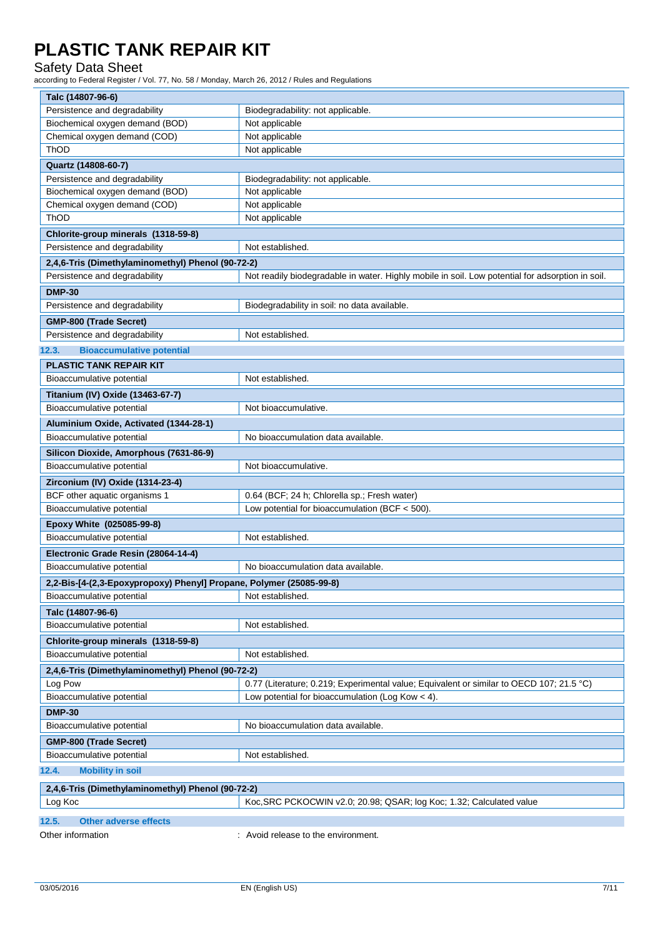## Safety Data Sheet

according to Federal Register / Vol. 77, No. 58 / Monday, March 26, 2012 / Rules and Regulations

| Talc (14807-96-6)                                                   |                                                                                                  |
|---------------------------------------------------------------------|--------------------------------------------------------------------------------------------------|
| Persistence and degradability                                       | Biodegradability: not applicable.                                                                |
| Biochemical oxygen demand (BOD)                                     | Not applicable                                                                                   |
| Chemical oxygen demand (COD)                                        | Not applicable                                                                                   |
| ThOD                                                                | Not applicable                                                                                   |
| Quartz (14808-60-7)                                                 |                                                                                                  |
| Persistence and degradability                                       | Biodegradability: not applicable.                                                                |
| Biochemical oxygen demand (BOD)                                     | Not applicable                                                                                   |
| Chemical oxygen demand (COD)                                        | Not applicable                                                                                   |
| ThOD                                                                | Not applicable                                                                                   |
| Chlorite-group minerals (1318-59-8)                                 |                                                                                                  |
| Persistence and degradability                                       | Not established.                                                                                 |
| 2,4,6-Tris (Dimethylaminomethyl) Phenol (90-72-2)                   |                                                                                                  |
| Persistence and degradability                                       | Not readily biodegradable in water. Highly mobile in soil. Low potential for adsorption in soil. |
| <b>DMP-30</b>                                                       |                                                                                                  |
| Persistence and degradability                                       | Biodegradability in soil: no data available.                                                     |
| GMP-800 (Trade Secret)                                              |                                                                                                  |
| Persistence and degradability                                       | Not established.                                                                                 |
| 12.3.<br><b>Bioaccumulative potential</b>                           |                                                                                                  |
| PLASTIC TANK REPAIR KIT                                             |                                                                                                  |
| Bioaccumulative potential                                           | Not established.                                                                                 |
| Titanium (IV) Oxide (13463-67-7)                                    |                                                                                                  |
| Bioaccumulative potential                                           | Not bioaccumulative.                                                                             |
| Aluminium Oxide, Activated (1344-28-1)                              |                                                                                                  |
| Bioaccumulative potential                                           | No bioaccumulation data available.                                                               |
| Silicon Dioxide, Amorphous (7631-86-9)                              |                                                                                                  |
| Bioaccumulative potential                                           | Not bioaccumulative.                                                                             |
| Zirconium (IV) Oxide (1314-23-4)                                    |                                                                                                  |
| BCF other aquatic organisms 1                                       | 0.64 (BCF; 24 h; Chlorella sp.; Fresh water)                                                     |
| Bioaccumulative potential                                           | Low potential for bioaccumulation (BCF < 500).                                                   |
|                                                                     |                                                                                                  |
| Epoxy White (025085-99-8)<br>Bioaccumulative potential              | Not established.                                                                                 |
|                                                                     |                                                                                                  |
| Electronic Grade Resin (28064-14-4)                                 | No bioaccumulation data available.                                                               |
| Bioaccumulative potential                                           |                                                                                                  |
| 2,2-Bis-[4-(2,3-Epoxypropoxy) Phenyl] Propane, Polymer (25085-99-8) |                                                                                                  |
| Bioaccumulative potential                                           | Not established.                                                                                 |
| Talc (14807-96-6)                                                   |                                                                                                  |
| Bioaccumulative potential                                           | Not established.                                                                                 |
| Chlorite-group minerals (1318-59-8)                                 |                                                                                                  |
| Bioaccumulative potential                                           | Not established.                                                                                 |
| 2,4,6-Tris (Dimethylaminomethyl) Phenol (90-72-2)                   |                                                                                                  |
| Log Pow                                                             | 0.77 (Literature; 0.219; Experimental value; Equivalent or similar to OECD 107; 21.5 °C)         |
| Bioaccumulative potential                                           | Low potential for bioaccumulation (Log Kow $<$ 4).                                               |
| <b>DMP-30</b>                                                       |                                                                                                  |
| Bioaccumulative potential                                           | No bioaccumulation data available.                                                               |
| GMP-800 (Trade Secret)                                              |                                                                                                  |
| Bioaccumulative potential                                           | Not established.                                                                                 |
| 12.4.<br><b>Mobility in soil</b>                                    |                                                                                                  |
| 2,4,6-Tris (Dimethylaminomethyl) Phenol (90-72-2)                   |                                                                                                  |
| Log Koc                                                             | Koc, SRC PCKOCWIN v2.0; 20.98; QSAR; log Koc; 1.32; Calculated value                             |
|                                                                     |                                                                                                  |
| 12.5.<br><b>Other adverse effects</b>                               |                                                                                                  |
| Other information                                                   | : Avoid release to the environment.                                                              |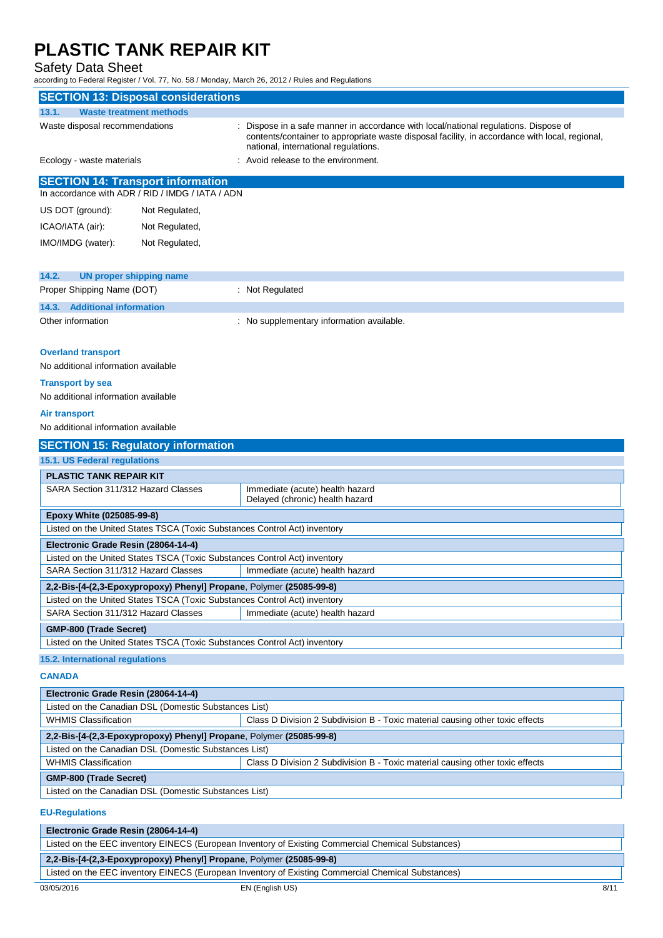### Safety Data Sheet

according to Federal Register / Vol. 77, No. 58 / Monday, March 26, 2012 / Rules and Regulations

| <b>SECTION 13: Disposal considerations</b>                                                                                   |                                                                           |                                                                                                                                                                                                                              |  |  |
|------------------------------------------------------------------------------------------------------------------------------|---------------------------------------------------------------------------|------------------------------------------------------------------------------------------------------------------------------------------------------------------------------------------------------------------------------|--|--|
| 13.1.<br><b>Waste treatment methods</b>                                                                                      |                                                                           |                                                                                                                                                                                                                              |  |  |
| Waste disposal recommendations                                                                                               |                                                                           | Dispose in a safe manner in accordance with local/national regulations. Dispose of<br>contents/container to appropriate waste disposal facility, in accordance with local, regional,<br>national, international regulations. |  |  |
| Avoid release to the environment.<br>Ecology - waste materials                                                               |                                                                           |                                                                                                                                                                                                                              |  |  |
| <b>SECTION 14: Transport information</b>                                                                                     | In accordance with ADR / RID / IMDG / IATA / ADN                          |                                                                                                                                                                                                                              |  |  |
| US DOT (ground):                                                                                                             | Not Regulated,                                                            |                                                                                                                                                                                                                              |  |  |
| ICAO/IATA (air):                                                                                                             | Not Regulated,                                                            |                                                                                                                                                                                                                              |  |  |
|                                                                                                                              |                                                                           |                                                                                                                                                                                                                              |  |  |
| IMO/IMDG (water):                                                                                                            | Not Regulated,                                                            |                                                                                                                                                                                                                              |  |  |
| 14.2.<br><b>UN proper shipping name</b>                                                                                      |                                                                           |                                                                                                                                                                                                                              |  |  |
| Proper Shipping Name (DOT)                                                                                                   |                                                                           | : Not Regulated                                                                                                                                                                                                              |  |  |
| <b>Additional information</b><br>14.3.                                                                                       |                                                                           |                                                                                                                                                                                                                              |  |  |
| Other information                                                                                                            |                                                                           | : No supplementary information available.                                                                                                                                                                                    |  |  |
| <b>Overland transport</b><br>No additional information available                                                             |                                                                           |                                                                                                                                                                                                                              |  |  |
| <b>Transport by sea</b>                                                                                                      |                                                                           |                                                                                                                                                                                                                              |  |  |
| No additional information available                                                                                          |                                                                           |                                                                                                                                                                                                                              |  |  |
| Air transport                                                                                                                |                                                                           |                                                                                                                                                                                                                              |  |  |
| No additional information available                                                                                          |                                                                           |                                                                                                                                                                                                                              |  |  |
|                                                                                                                              |                                                                           |                                                                                                                                                                                                                              |  |  |
| <b>SECTION 15: Regulatory information</b>                                                                                    |                                                                           |                                                                                                                                                                                                                              |  |  |
| 15.1. US Federal regulations                                                                                                 |                                                                           |                                                                                                                                                                                                                              |  |  |
| PLASTIC TANK REPAIR KIT                                                                                                      |                                                                           |                                                                                                                                                                                                                              |  |  |
| SARA Section 311/312 Hazard Classes                                                                                          |                                                                           | Immediate (acute) health hazard<br>Delayed (chronic) health hazard                                                                                                                                                           |  |  |
| Epoxy White (025085-99-8)                                                                                                    |                                                                           |                                                                                                                                                                                                                              |  |  |
|                                                                                                                              | Listed on the United States TSCA (Toxic Substances Control Act) inventory |                                                                                                                                                                                                                              |  |  |
| Electronic Grade Resin (28064-14-4)                                                                                          |                                                                           |                                                                                                                                                                                                                              |  |  |
| Listed on the United States TSCA (Toxic Substances Control Act) inventory                                                    |                                                                           |                                                                                                                                                                                                                              |  |  |
| SARA Section 311/312 Hazard Classes                                                                                          |                                                                           | Immediate (acute) health hazard                                                                                                                                                                                              |  |  |
| 2,2-Bis-[4-(2,3-Epoxypropoxy) Phenyl] Propane, Polymer (25085-99-8)                                                          |                                                                           |                                                                                                                                                                                                                              |  |  |
| Listed on the United States TSCA (Toxic Substances Control Act) inventory                                                    |                                                                           |                                                                                                                                                                                                                              |  |  |
| SARA Section 311/312 Hazard Classes<br>Immediate (acute) health hazard                                                       |                                                                           |                                                                                                                                                                                                                              |  |  |
| GMP-800 (Trade Secret)                                                                                                       |                                                                           |                                                                                                                                                                                                                              |  |  |
| Listed on the United States TSCA (Toxic Substances Control Act) inventory                                                    |                                                                           |                                                                                                                                                                                                                              |  |  |
| <b>15.2. International regulations</b>                                                                                       |                                                                           |                                                                                                                                                                                                                              |  |  |
| <b>CANADA</b>                                                                                                                |                                                                           |                                                                                                                                                                                                                              |  |  |
| Electronic Grade Resin (28064-14-4)                                                                                          |                                                                           |                                                                                                                                                                                                                              |  |  |
|                                                                                                                              | Listed on the Canadian DSL (Domestic Substances List)                     |                                                                                                                                                                                                                              |  |  |
| <b>WHMIS Classification</b>                                                                                                  |                                                                           | Class D Division 2 Subdivision B - Toxic material causing other toxic effects                                                                                                                                                |  |  |
| 2,2-Bis-[4-(2,3-Epoxypropoxy) Phenyl] Propane, Polymer (25085-99-8)<br>Listed on the Canadian DSL (Domestic Substances List) |                                                                           |                                                                                                                                                                                                                              |  |  |
| <b>WHMIS Classification</b>                                                                                                  |                                                                           | Class D Division 2 Subdivision B - Toxic material causing other toxic effects                                                                                                                                                |  |  |
|                                                                                                                              |                                                                           |                                                                                                                                                                                                                              |  |  |
| <b>GMP-800 (Trade Secret)</b>                                                                                                |                                                                           |                                                                                                                                                                                                                              |  |  |
| Listed on the Canadian DSL (Domestic Substances List)                                                                        |                                                                           |                                                                                                                                                                                                                              |  |  |
| <b>EU-Regulations</b>                                                                                                        |                                                                           |                                                                                                                                                                                                                              |  |  |
| Electronic Grade Resin (28064-14-4)                                                                                          |                                                                           |                                                                                                                                                                                                                              |  |  |
| Listed on the EEC inventory EINECS (European Inventory of Existing Commercial Chemical Substances)                           |                                                                           |                                                                                                                                                                                                                              |  |  |

**2,2-Bis-[4-(2,3-Epoxypropoxy) Phenyl] Propane**, Polymer **(25085-99-8)** Listed on the EEC inventory EINECS (European Inventory of Existing Commercial Chemical Substances)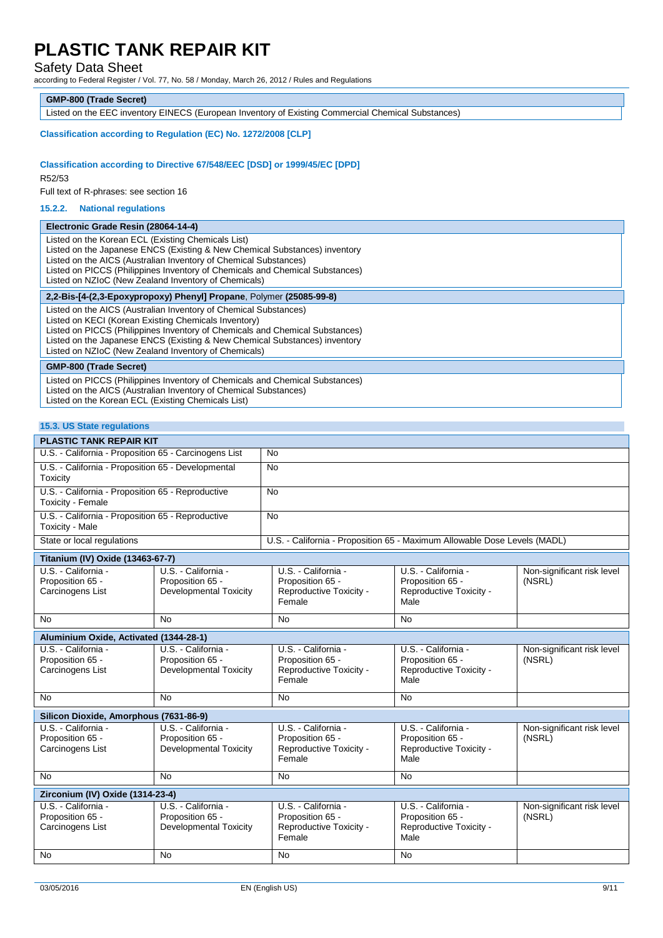### Safety Data Sheet

according to Federal Register / Vol. 77, No. 58 / Monday, March 26, 2012 / Rules and Regulations

#### **GMP-800 (Trade Secret)**

Listed on the EEC inventory EINECS (European Inventory of Existing Commercial Chemical Substances)

#### **Classification according to Regulation (EC) No. 1272/2008 [CLP]**

### **Classification according to Directive 67/548/EEC [DSD] or 1999/45/EC [DPD]**

R52/53

Full text of R-phrases: see section 16

#### **15.2.2. National regulations**

| Electronic Grade Resin (28064-14-4)                                                                                                                                                                                                                                                                                                            |
|------------------------------------------------------------------------------------------------------------------------------------------------------------------------------------------------------------------------------------------------------------------------------------------------------------------------------------------------|
| Listed on the Korean ECL (Existing Chemicals List)<br>Listed on the Japanese ENCS (Existing & New Chemical Substances) inventory<br>Listed on the AICS (Australian Inventory of Chemical Substances)<br>Listed on PICCS (Philippines Inventory of Chemicals and Chemical Substances)<br>Listed on NZIoC (New Zealand Inventory of Chemicals)   |
| 2,2-Bis-[4-(2,3-Epoxypropoxy) Phenyl] Propane, Polymer (25085-99-8)                                                                                                                                                                                                                                                                            |
| Listed on the AICS (Australian Inventory of Chemical Substances)<br>Listed on KECI (Korean Existing Chemicals Inventory)<br>Listed on PICCS (Philippines Inventory of Chemicals and Chemical Substances)<br>Listed on the Japanese ENCS (Existing & New Chemical Substances) inventory<br>Listed on NZIoC (New Zealand Inventory of Chemicals) |
| <b>GMP-800 (Trade Secret)</b>                                                                                                                                                                                                                                                                                                                  |
| Listed on PICCS (Philippines Inventory of Chemicals and Chemical Substances)<br>Listed on the AICS (Australian Inventory of Chemical Substances)<br>Listed on the Korean ECL (Existing Chemicals List)                                                                                                                                         |

#### **15.3. US State regulations**

| <b>PLASTIC TANK REPAIR KIT</b>                                         |                                                                           |
|------------------------------------------------------------------------|---------------------------------------------------------------------------|
| U.S. - California - Proposition 65 - Carcinogens List                  | No.                                                                       |
| U.S. - California - Proposition 65 - Developmental<br>Toxicity         | <b>No</b>                                                                 |
| U.S. - California - Proposition 65 - Reproductive<br>Toxicity - Female | <b>No</b>                                                                 |
| U.S. - California - Proposition 65 - Reproductive<br>Toxicity - Male   | <b>No</b>                                                                 |
| State or local regulations                                             | U.S. - California - Proposition 65 - Maximum Allowable Dose Levels (MADL) |

| U.S. - California -                    | U.S. - California -    |                                   |                                 |                            |
|----------------------------------------|------------------------|-----------------------------------|---------------------------------|----------------------------|
|                                        |                        | U.S. - California -               | U.S. - California -             | Non-significant risk level |
| Proposition 65 -                       | Proposition 65 -       | Proposition 65 -                  | Proposition 65 -                | (NSRL)                     |
| Carcinogens List                       | Developmental Toxicity | Reproductive Toxicity -<br>Female | Reproductive Toxicity -<br>Male |                            |
|                                        |                        |                                   |                                 |                            |
| <b>No</b><br>No                        |                        | <b>No</b>                         | <b>No</b>                       |                            |
| Aluminium Oxide, Activated (1344-28-1) |                        |                                   |                                 |                            |
| U.S. California -                      | U.S. - California -    | U.S. - California -               | U.S. - California -             | Non-significant risk level |
| Proposition 65 -                       | Proposition 65 -       | Proposition 65 -                  | Proposition 65 -                | (NSRL)                     |
| Carcinogens List                       | Developmental Toxicity | Reproductive Toxicity -           | Reproductive Toxicity -         |                            |
|                                        |                        | Female                            | Male                            |                            |
| <b>No</b><br>No                        |                        | <b>No</b>                         | <b>No</b>                       |                            |
| Silicon Dioxide, Amorphous (7631-86-9) |                        |                                   |                                 |                            |
| U.S. - California -                    | U.S. - California -    | U.S. - California -               | U.S. - California -             | Non-significant risk level |
| Proposition 65 -                       | Proposition 65 -       | Proposition 65 -                  | Proposition 65 -                | (NSRL)                     |
| Carcinogens List                       | Developmental Toxicity | Reproductive Toxicity -           | Reproductive Toxicity -         |                            |
|                                        |                        | Female                            | Male                            |                            |
| <b>No</b><br>No                        |                        | <b>No</b>                         | <b>No</b>                       |                            |
| Zirconium (IV) Oxide (1314-23-4)       |                        |                                   |                                 |                            |
| U.S. - California -                    | U.S. - California -    | U.S. - California -               | U.S. - California -             | Non-significant risk level |
| Proposition 65 -                       | Proposition 65 -       | Proposition 65 -                  | Proposition 65 -                | (NSRL)                     |
| Carcinogens List                       | Developmental Toxicity | Reproductive Toxicity -           | Reproductive Toxicity -         |                            |
|                                        |                        | Female                            | Male                            |                            |
| <b>No</b><br><b>No</b>                 |                        | <b>No</b>                         | <b>No</b>                       |                            |
|                                        |                        |                                   |                                 |                            |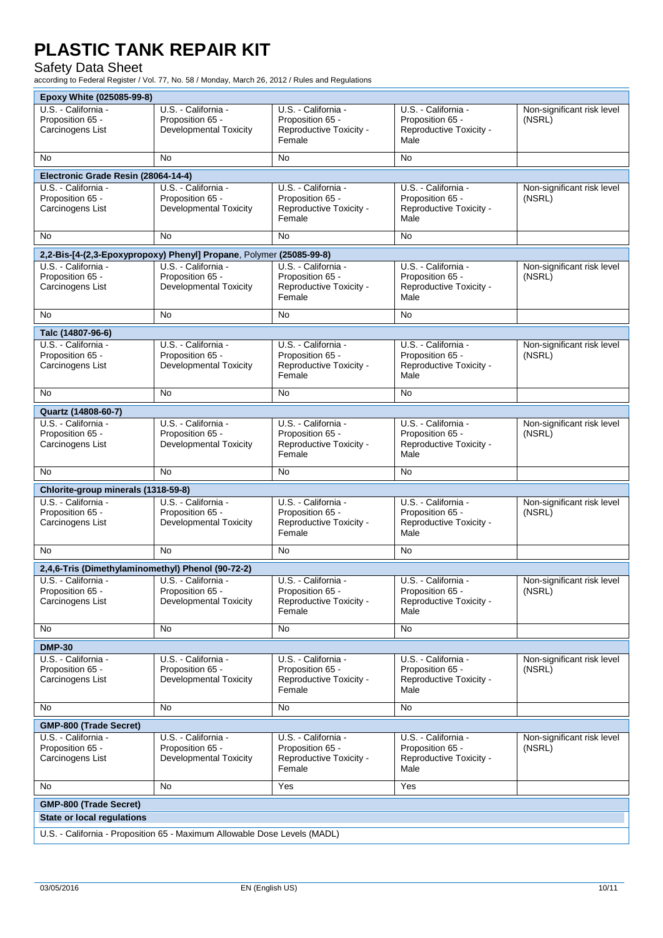## Safety Data Sheet

according to Federal Register / Vol. 77, No. 58 / Monday, March 26, 2012 / Rules and Regulations

| Epoxy White (025085-99-8)                         |                                                                     |                                             |                                             |                            |
|---------------------------------------------------|---------------------------------------------------------------------|---------------------------------------------|---------------------------------------------|----------------------------|
| U.S. - California -                               | U.S. - California -                                                 | U.S. - California -                         | U.S. - California -                         | Non-significant risk level |
| Proposition 65 -                                  | Proposition 65 -                                                    | Proposition 65 -                            | Proposition 65 -                            | (NSRL)                     |
| Carcinogens List                                  | <b>Developmental Toxicity</b>                                       | Reproductive Toxicity -                     | Reproductive Toxicity -                     |                            |
|                                                   |                                                                     | Female                                      | Male                                        |                            |
| No                                                | No                                                                  | <b>No</b>                                   | No                                          |                            |
| Electronic Grade Resin (28064-14-4)               |                                                                     |                                             |                                             |                            |
| U.S. - California -                               | U.S. - California -                                                 | U.S. - California -                         | U.S. - California -                         | Non-significant risk level |
| Proposition 65 -                                  | Proposition 65 -                                                    | Proposition 65 -                            | Proposition 65 -                            | (NSRL)                     |
| Carcinogens List                                  | <b>Developmental Toxicity</b>                                       | Reproductive Toxicity -                     | Reproductive Toxicity -                     |                            |
|                                                   |                                                                     | Female                                      | Male                                        |                            |
| No.                                               | No                                                                  | <b>No</b>                                   | No                                          |                            |
|                                                   |                                                                     |                                             |                                             |                            |
|                                                   | 2,2-Bis-[4-(2,3-Epoxypropoxy) Phenyl] Propane, Polymer (25085-99-8) |                                             |                                             |                            |
| U.S. California -                                 | U.S. - California -                                                 | U.S. - California -                         | U.S. - California -                         | Non-significant risk level |
| Proposition 65 -<br>Carcinogens List              | Proposition 65 -<br><b>Developmental Toxicity</b>                   | Proposition 65 -<br>Reproductive Toxicity - | Proposition 65 -<br>Reproductive Toxicity - | (NSRL)                     |
|                                                   |                                                                     | Female                                      | Male                                        |                            |
|                                                   |                                                                     |                                             |                                             |                            |
| No.                                               | No                                                                  | No                                          | No                                          |                            |
| Talc (14807-96-6)                                 |                                                                     |                                             |                                             |                            |
| U.S. - California -                               | U.S. - California -                                                 | U.S. - California -                         | U.S. - California -                         | Non-significant risk level |
| Proposition 65 -                                  | Proposition 65 -                                                    | Proposition 65 -                            | Proposition 65 -                            | (NSRL)                     |
| Carcinogens List                                  | <b>Developmental Toxicity</b>                                       | Reproductive Toxicity -                     | Reproductive Toxicity -                     |                            |
|                                                   |                                                                     | Female                                      | Male                                        |                            |
| No.                                               | No                                                                  | No                                          | No                                          |                            |
| Quartz (14808-60-7)                               |                                                                     |                                             |                                             |                            |
| U.S. - California -                               | U.S. - California -                                                 | U.S. - California -                         | U.S. - California -                         | Non-significant risk level |
| Proposition 65 -                                  | Proposition 65 -                                                    | Proposition 65 -                            | Proposition 65 -                            | (NSRL)                     |
| Carcinogens List                                  | <b>Developmental Toxicity</b>                                       | Reproductive Toxicity -                     | Reproductive Toxicity -                     |                            |
|                                                   |                                                                     | Female                                      | Male                                        |                            |
| No                                                | No                                                                  | No                                          | No                                          |                            |
|                                                   |                                                                     |                                             |                                             |                            |
| Chlorite-group minerals (1318-59-8)               |                                                                     |                                             |                                             |                            |
| U.S. - California -<br>Proposition 65 -           | U.S. - California -                                                 | U.S. - California -                         | U.S. - California -                         | Non-significant risk level |
|                                                   |                                                                     |                                             |                                             |                            |
|                                                   | Proposition 65 -                                                    | Proposition 65 -                            | Proposition 65 -                            | (NSRL)                     |
| Carcinogens List                                  | Developmental Toxicity                                              | Reproductive Toxicity -                     | Reproductive Toxicity -                     |                            |
|                                                   |                                                                     | Female                                      | Male                                        |                            |
| No                                                | No                                                                  | <b>No</b>                                   | No                                          |                            |
| 2,4,6-Tris (Dimethylaminomethyl) Phenol (90-72-2) |                                                                     |                                             |                                             |                            |
| U.S. - California -                               | U.S. - California -                                                 | U.S. - California -                         | U.S. - California -                         | Non-significant risk level |
| Proposition 65 -                                  | Proposition 65 -                                                    | Proposition 65 -                            | Proposition 65 -                            | (NSRL)                     |
| Carcinogens List                                  | <b>Developmental Toxicity</b>                                       | Reproductive Toxicity -                     | Reproductive Toxicity -                     |                            |
|                                                   |                                                                     | Female                                      | Male                                        |                            |
| No                                                | No                                                                  | <b>No</b>                                   | No                                          |                            |
|                                                   |                                                                     |                                             |                                             |                            |
| <b>DMP-30</b>                                     |                                                                     |                                             |                                             |                            |
| U.S. - California -                               | U.S. - California -                                                 | U.S. - California -                         | U.S. - California -                         | Non-significant risk level |
| Proposition 65 -<br>Carcinogens List              | Proposition 65 -<br>Developmental Toxicity                          | Proposition 65 -<br>Reproductive Toxicity - | Proposition 65 -<br>Reproductive Toxicity - | (NSRL)                     |
|                                                   |                                                                     | Female                                      | Male                                        |                            |
| No                                                | No                                                                  | <b>No</b>                                   | No                                          |                            |
|                                                   |                                                                     |                                             |                                             |                            |
| <b>GMP-800 (Trade Secret)</b>                     |                                                                     |                                             |                                             |                            |
| U.S. - California -                               | U.S. - California -                                                 | U.S. - California -                         | U.S. - California -                         | Non-significant risk level |
| Proposition 65 -                                  | Proposition 65 -                                                    | Proposition 65 -                            | Proposition 65 -                            | (NSRL)                     |
| Carcinogens List                                  | Developmental Toxicity                                              | Reproductive Toxicity -<br>Female           | Reproductive Toxicity -<br>Male             |                            |
|                                                   |                                                                     |                                             |                                             |                            |
| No                                                | No                                                                  | Yes                                         | Yes                                         |                            |
| <b>GMP-800 (Trade Secret)</b>                     |                                                                     |                                             |                                             |                            |
| <b>State or local regulations</b>                 |                                                                     |                                             |                                             |                            |